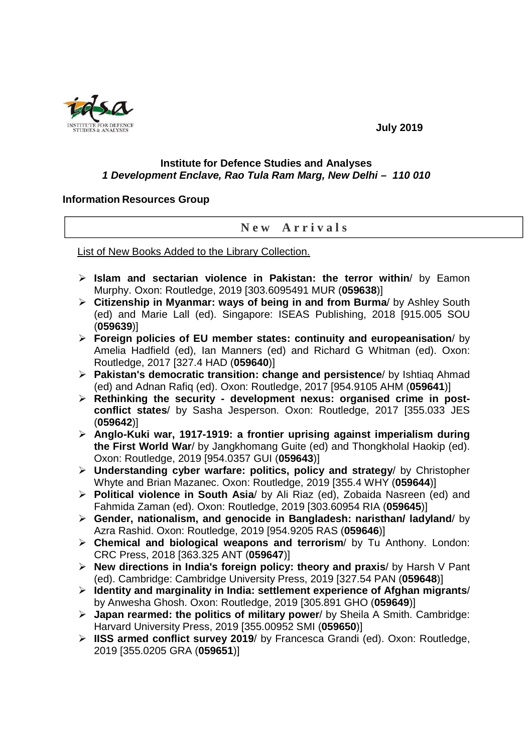

## **July 2019**

## **Institute for Defence Studies and Analyses 1 Development Enclave, Rao Tula Ram Marg, New Delhi – 110 010**

## **Information Resources Group**

## **N e w A r r i v a l s**

List of New Books Added to the Library Collection.

- **Islam and sectarian violence in Pakistan: the terror within**/ by Eamon Murphy. Oxon: Routledge, 2019 [303.6095491 MUR (**059638**)]
- **Citizenship in Myanmar: ways of being in and from Burma**/ by Ashley South (ed) and Marie Lall (ed). Singapore: ISEAS Publishing, 2018 [915.005 SOU (**059639**)]
- **Foreign policies of EU member states: continuity and europeanisation**/ by Amelia Hadfield (ed), Ian Manners (ed) and Richard G Whitman (ed). Oxon: Routledge, 2017 [327.4 HAD (**059640**)]
- **Pakistan's democratic transition: change and persistence**/ by Ishtiaq Ahmad (ed) and Adnan Rafiq (ed). Oxon: Routledge, 2017 [954.9105 AHM (**059641**)]
- **Rethinking the security development nexus: organised crime in postconflict states**/ by Sasha Jesperson. Oxon: Routledge, 2017 [355.033 JES (**059642**)]
- **Anglo-Kuki war, 1917-1919: a frontier uprising against imperialism during the First World War**/ by Jangkhomang Guite (ed) and Thongkholal Haokip (ed). Oxon: Routledge, 2019 [954.0357 GUI (**059643**)]
- **Understanding cyber warfare: politics, policy and strategy**/ by Christopher Whyte and Brian Mazanec. Oxon: Routledge, 2019 [355.4 WHY (**059644**)]
- **Political violence in South Asia**/ by Ali Riaz (ed), Zobaida Nasreen (ed) and Fahmida Zaman (ed). Oxon: Routledge, 2019 [303.60954 RIA (**059645**)]
- **Gender, nationalism, and genocide in Bangladesh: naristhan/ ladyland**/ by Azra Rashid. Oxon: Routledge, 2019 [954.9205 RAS (**059646**)]
- **Chemical and biological weapons and terrorism**/ by Tu Anthony. London: CRC Press, 2018 [363.325 ANT (**059647**)]
- **New directions in India's foreign policy: theory and praxis**/ by Harsh V Pant (ed). Cambridge: Cambridge University Press, 2019 [327.54 PAN (**059648**)]
- **Identity and marginality in India: settlement experience of Afghan migrants**/ by Anwesha Ghosh. Oxon: Routledge, 2019 [305.891 GHO (**059649**)]
- **Japan rearmed: the politics of military power**/ by Sheila A Smith. Cambridge: Harvard University Press, 2019 [355.00952 SMI (**059650**)]
- **IISS armed conflict survey 2019**/ by Francesca Grandi (ed). Oxon: Routledge, 2019 [355.0205 GRA (**059651**)]